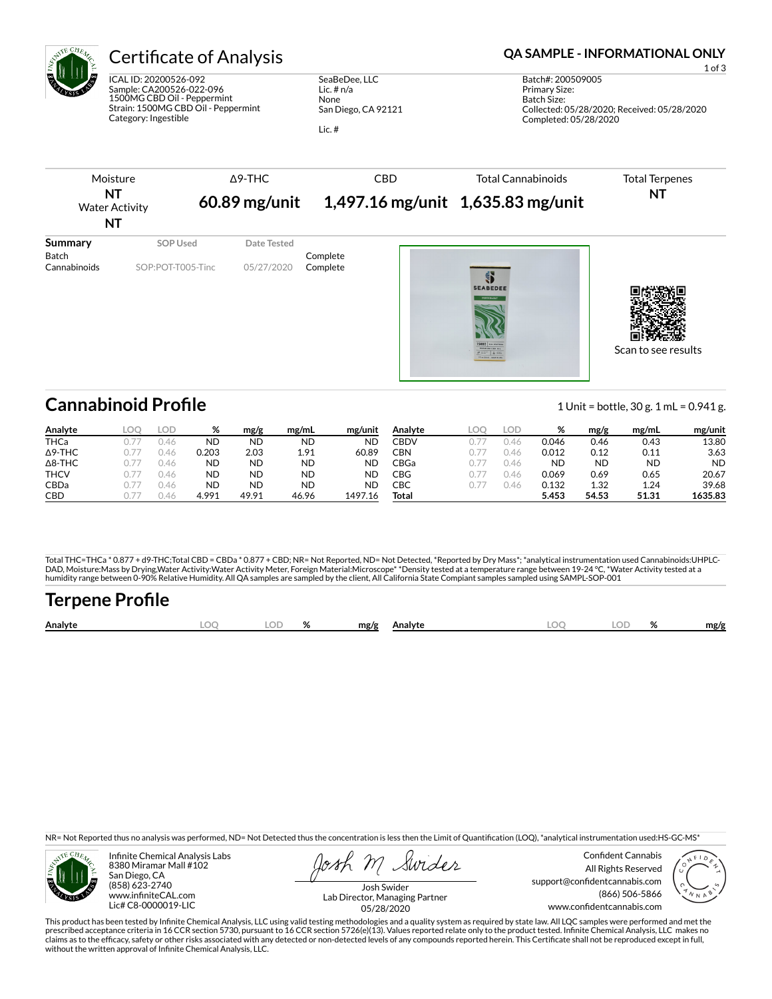

ICAL ID: 20200526-092 Sample: CA200526-022-096 1500MG CBD Oil - Peppermint Strain: 1500MG CBD Oil - Peppermint Category: Ingestible

SeaBeDee, LLC Lic. # n/a None San Diego, CA 92121

Lic. #

# Certificate of Analysis **Certificate of Analysis QA SAMPLE - INFORMATIONAL ONLY**



| Analyte        | LOD  | %         | mg/g      | mg/mL     | mg/unit   | Analyte | ∟OC | LOD  | %     | mg/g  | mg/mL | mg/unit   |
|----------------|------|-----------|-----------|-----------|-----------|---------|-----|------|-------|-------|-------|-----------|
| <b>THCa</b>    | 0.46 | <b>ND</b> | <b>ND</b> | <b>ND</b> | <b>ND</b> | CBDV    |     | 0.46 | 0.046 | 0.46  | 0.43  | 13.80     |
| $\Delta$ 9-THC | J.46 | 0.203     | 2.03      | 1.91      | 60.89     | CBN     |     | 0.46 | 0.012 | 0.12  | 0.11  | 3.63      |
| $\Delta$ 8-THC | 0.46 | <b>ND</b> | <b>ND</b> | <b>ND</b> | ND        | CBGa    |     | 0.46 | ΝD    | ND    | ND    | <b>ND</b> |
| <b>THCV</b>    | ).46 | <b>ND</b> | <b>ND</b> | <b>ND</b> | ND        | CBG     |     | J.46 | 0.069 | 0.69  | 0.65  | 20.67     |
| CBDa           | 0.46 | <b>ND</b> | <b>ND</b> | <b>ND</b> | ND        | СВС     |     | 0.46 | 0.132 | 1.32  | 1.24  | 39.68     |
| CBD            | 146  | 4.991     | 49.91     | 46.96     | 1497.16   | Total   |     |      | 5.453 | 54.53 | 51.31 | 1635.83   |

Total THC=THCa \* 0.877 + d9-THC;Total CBD = CBDa \* 0.877 + CBD; NR= Not Reported, ND= Not Detected, \*Reported by Dry Mass\*; \*analytical instrumentation used Cannabinoids:UHPLC-DAD, Moisture:Mass by Drying,Water Activity:Water Activity Meter, Foreign Material:Microscope\* \*Density tested at a temperature range between 19-24 °C, \*Water Activity tested at a<br>humidity range between 0-90% Relative Humi

# Terpene Profile

| Analyte | ור<br>∼ | $\mathbf{a}$ | mg/g | Analvte | $\sim$ |  | mg/g |
|---------|---------|--------------|------|---------|--------|--|------|
|         |         |              |      |         |        |  |      |

NR= Not Reported thus no analysis was performed, ND= Not Detected thus the concentration is less then the Limit of Quantification (LOQ), \*analytical instrumentation used:HS-GC-MS\*



Infinite Chemical Analysis Labs 8380 Miramar Mall #102 San Diego, CA (858) 623-2740 www.infiniteCAL.com Lic# C8-0000019-LIC

Swides

Confident Cannabis All Rights Reserved support@confidentcannabis.com (866) 506-5866 www.confidentcannabis.com



Josh Swider Lab Director, Managing Partner 05/28/2020

This product has been tested by Infinite Chemical Analysis, LLC using valid testing methodologies and a quality system as required by state law. All LQC samples were performed and met the prescribed acceptance criteria in 16 CCR section 5730, pursuant to 16 CCR section 5726(e)(13). Values reported relate only to the product tested. Infinite Chemical Analysis, LLC makes no<br>claims as to the efficacy, safety o without the written approval of Infinite Chemical Analysis, LLC.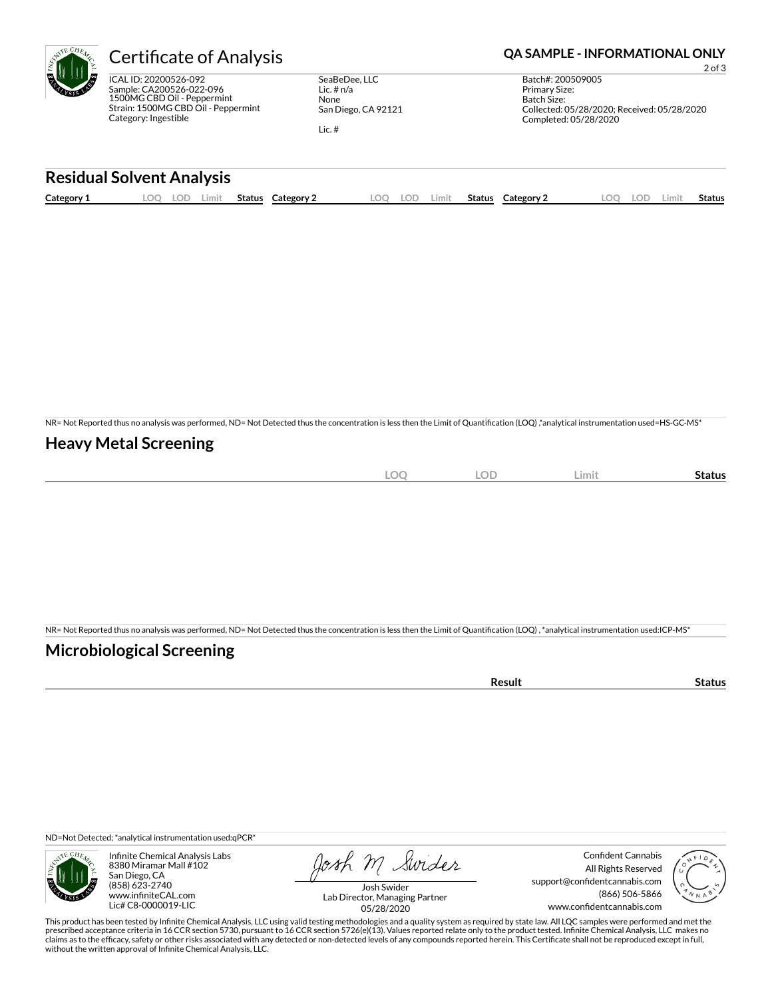ICAL ID: 20200526-092 Sample: CA200526-022-096 1500MG CBD Oil - Peppermint Strain: 1500MG CBD Oil - Peppermint Category: Ingestible

SeaBeDee, LLC Lic. # n/a None San Diego, CA 92121

Lic. #

# Certificate of Analysis **Certificate of Analysis QA SAMPLE - INFORMATIONAL ONLY**

2 of 3 Batch#: 200509005 Primary Size: Batch Size: Collected: 05/28/2020; Received: 05/28/2020 Completed: 05/28/2020

#### **Residual Solvent Analysis**

| Category 1 | . OC | .ul | Limit | <b>Status</b> | Category | LOO | -77 | Limit. | <b>Status</b> | Category 2 | LOD. | Limi† | <b>Status</b> |
|------------|------|-----|-------|---------------|----------|-----|-----|--------|---------------|------------|------|-------|---------------|
|            |      |     |       |               |          |     |     |        |               |            |      |       |               |

NR= Not Reported thus no analysis was performed, ND= Not Detected thus the concentration is less then the Limit of Quantification (LOQ),\*analytical instrumentation used=HS-GC-MS\*

### **Heavy Metal Screening**

| $\sim$<br>$-$<br>λC<br>$-$<br>$\sim$ | $\cap$<br>$-$<br>$\overline{\phantom{a}}$ | Limit | status |
|--------------------------------------|-------------------------------------------|-------|--------|
|                                      |                                           |       |        |

NR= Not Reported thus no analysis was performed, ND= Not Detected thus the concentration is less then the Limit of Quantification (LOQ), \*analytical instrumentation used:ICP-MS\*

### **Microbiological Screening**

| ` sult ∴ |  |
|----------|--|
|          |  |

ND=Not Detected; \*analytical instrumentation used:qPCR\*



Infinite Chemical Analysis Labs 8380 Miramar Mall #102 San Diego, CA (858) 623-2740 www.infiniteCAL.com Lic# C8-0000019-LIC

Josh M Swider

Confident Cannabis All Rights Reserved support@confidentcannabis.com (866) 506-5866 www.confidentcannabis.com



Josh Swider Lab Director, Managing Partner 05/28/2020

This product has been tested by Infinite Chemical Analysis, LLC using valid testing methodologies and a quality system as required by state law. All LQC samples were performed and met the prescribed acceptance criteria in 16 CCR section 5730, pursuant to 16 CCR section 5726(e)(13). Values reported relate only to the product tested. Infinite Chemical Analysis, LLC makes no<br>claims as to the efficacy, safety o without the written approval of Infinite Chemical Analysis, LLC.